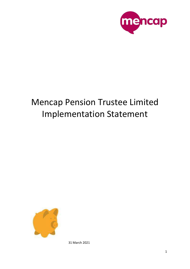

# Mencap Pension Trustee Limited Implementation Statement



31 March 2021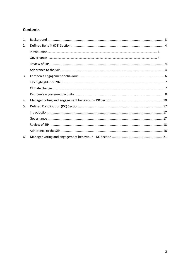# **Contents**

| 1. |  |
|----|--|
| 2. |  |
|    |  |
|    |  |
|    |  |
|    |  |
| 3. |  |
|    |  |
|    |  |
|    |  |
| 4. |  |
| 5. |  |
|    |  |
|    |  |
|    |  |
|    |  |
| 6. |  |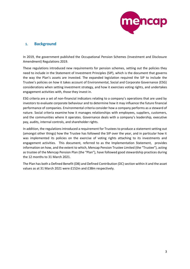

# <span id="page-2-0"></span>**1. Background**

In 2019, the government published the Occupational Pension Schemes (Investment and Disclosure Amendment) Regulations 2019.

These regulations introduced new requirements for pension schemes, setting out the policies they need to include in the Statement of Investment Principles (SIP), which is the document that governs the way the Plan's assets are invested. The expanded legislation required the SIP to include the Trustee's policies on how it takes account of Environmental, Social and Corporate Governance (ESG) considerations when setting investment strategy, and how it exercises voting rights, and undertakes engagement activities with, those they invest in.

ESG criteria are a set of non-financial indicators relating to a company's operations that are used by investors to evaluate corporate behaviour and to determine how it may influence the future financial performance of companies. Environmental criteria consider how a company performs as a steward of nature. Social criteria examine how it manages relationships with employees, suppliers, customers, and the communities where it operates. Governance deals with a company's leadership, executive pay, [audits,](https://www.investopedia.com/terms/a/audit.asp) [internal controls,](https://www.investopedia.com/terms/i/internalcontrols.asp) and shareholder rights.

In addition, the regulations introduced a requirement for Trustees to produce a statement setting out (amongst other things) how the Trustee has followed the SIP over the year, and in particular how it was implemented its policies on the exercise of voting rights attaching to its investments and engagement activities. This document, referred to as the Implementation Statement, provides information on how, and the extent to which, Mencap Pension Trustee Limited (the "Trustee"), acting as trustee of the Mencap Pension Plan (the "Plan"), have followed good stewardship practices during the 12 months to 31 March 2021.

The Plan has both a Defined Benefit (DB) and Defined Contribution (DC) section within it and the asset values as at 31 March 2021 were £152m and £38m respectively.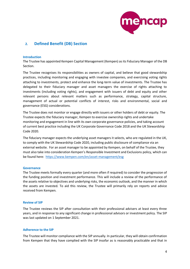

# <span id="page-3-0"></span>**2. Defined Benefit (DB) Section**

#### **Introduction**

The Trustee has appointed Kempen Capital Management (Kempen) as its Fiduciary Manager of the DB Section.

The Trustee recognises its responsibilities as owners of capital, and believe that good stewardship practices, including monitoring and engaging with investee companies, and exercising voting rights attaching to investments, protect and enhance the long-term value of investments. The Trustee has delegated to their fiduciary manager and asset managers the exercise of rights attaching to investments (including voting rights), and engagement with issuers of debt and equity and other relevant persons about relevant matters such as performance, strategy, capital structure, management of actual or potential conflicts of interest, risks and environmental, social and governance (ESG) considerations.

The Trustee does not monitor or engage directly with issuers or other holders of debt or equity. The Trustee expects the fiduciary manager, Kempen to exercise ownership rights and undertake monitoring and engagement in line with its own corporate governance policies, and taking account of current best practice including the UK Corporate Governance Code 2018 and the UK Stewardship Code 2020.

The fiduciary manager expects the underlying asset managers it selects, who are regulated in the UK, to comply with the UK Stewardship Code 2020, including public disclosure of compliance via an external website. For an asset manager to be appointed by Kempen, on behalf of the Trustee, they must also take into consideration Kempen's Responsible Investment and Exclusions policy, which can be found here: <https://www.kempen.com/en/asset-management/esg>

## **Governance**

The Trustee meets formally every quarter (and more often if required) to consider the progression of the funding position and investment performance. This will include a review of the performance of the assets relative to objectives and underlying risks, the economic outlook, and the manner in which the assets are invested. To aid this review, the Trustee will primarily rely on reports and advice received from Kempen.

## **Review of SIP**

The Trustee reviews the SIP after consultation with their professional advisers at least every three years, and in response to any significant change in professional advisors or investment policy. The SIP was last updated on 1 September 2021.

## <span id="page-3-1"></span>**Adherence to the SIP**

The Trustee will monitor compliance with the SIP annually. In particular, they will obtain confirmation from Kempen that they have complied with the SIP insofar as is reasonably practicable and that in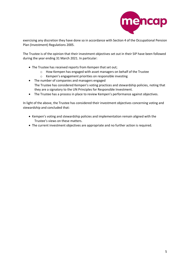

exercising any discretion they have done so in accordance with Section 4 of the Occupational Pension Plan (Investment) Regulations 2005.

The Trustee is of the opinion that their investment objectives set out in their SIP have been followed during the year ending 31 March 2021. In particular:

- The Trustee has received reports from Kempen that set out;
	- o How Kempen has engaged with asset managers on behalf of the Trustee
	- o Kempen's engagement priorities on responsible investing
- The number of companies and managers engaged The Trustee has considered Kempen's voting practices and stewardship policies, noting that they are a signatory to the UN Principles for Responsible Investment.
- The Trustee has a process in place to review Kempen's performance against objectives.

In light of the above, the Trustee has considered their investment objectives concerning voting and stewardship and concluded that:

- Kempen's voting and stewardship policies and implementation remain aligned with the Trustee's views on these matters.
- The current investment objectives are appropriate and no further action is required.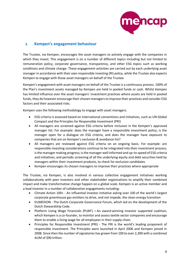

# <span id="page-5-0"></span>**3. Kempen's engagement behaviour**

The Trustee, via Kempen, encourages the asset managers to actively engage with the companies in which they invest. This engagement is on a number of different topics including but not limited to remuneration policy, corporate governance, transparency, and other ESG topics such as working conditions and climate change. These engagement activities are carried out by each underlying asset manager in accordance with their own responsible investing (RI) policy, while the Trustee also expects Kempen to engage with those asset managers on behalf of the Trustee.

Kempen's engagement with asset managers on behalf of the Trustee is a continuous process. 100% of the Plan's investment assets managed by Kempen are held in pooled funds or cash. Whilst Kempen has limited influence over the asset managers' investment practices where assets are held in pooled funds, they do however encourage their chosen managers to improve their practices and consider ESG factors and their associated risks.

Kempen uses the following methodology to engage with asset managers.

- ESG criteria is assessed based on international conventions and initiatives, such as UN Global Compact and the Principles for Responsible Investment (PRI)
- All managers are screened against ESG criteria before inclusion in the Kempen's approved manager list. For example: does the manager have a responsible investment policy; is the manager open for a dialogue on ESG criteria, and does the manager have exposure to companies that are on Kempen's exclusion & avoidance list?
- All managers are reviewed against ESG criteria on an ongoing basis. For example: are responsible investing considerations continue to be integrated into their investment process; is the manager making progress; is the manager well informed and up-to-speed of ESG criteria and initiatives; and periodic screening of all the underlying equity and debt securities held by managers within their investment products, to check for exclusion candidates.
- Kempen encourages its chosen managers to improve their practices where appropriate

The Trustee, via Kempen, is also involved in various collective engagement initiatives working collaboratively with peer investors and other stakeholder organisations to amplify their combined impact and make transformative change happen on a global scale. Kempen is an active member and a lead investor in a number of collaborative engagements including:

- Climate Action 100+ An influential investor initiative asking over 100 of the world's largest corporate greenhouse gas emitters to drive, and not impede, the clean energy transition
- EUMEDION The Dutch Corporate Governance Forum, which led on the development of the Dutch Stewardship Code.
- Platform Living Wage Financials (PLWF) **–** An award-winning investor supported coalition, which Kempen is a co-founder, to monitor and assess textile sector companies and encourage them to enable a living wage for all employees in their supply chain.
- Principles for Responsible Investment (PRI) The PRI is the world's leading proponent of responsible investment. The Principles were launched in April 2006 and Kempen joined in 2008. Since then the number of signatories has grown from 100 to over 2,300 with a combined AUM of \$90 trillion.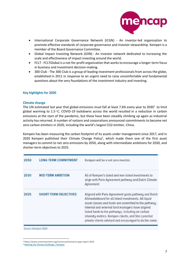

- International Corporate Governance Network (ICGN) An investor-led organisation to promote effective standards of corporate governance and investor stewardship. Kempen is a member of the Board Governance Committee.
- Global Impact Investing Network (GIIN) An investor network dedicated to increasing the scale and effectiveness of impact investing around the world.
- FCLT FCLTGlobal is a not-for-profit organization that works to encourage a longer-term focus in business and investment decision-making.
- 300 Club The 300 Club is a group of leading investment professionals from across the globe, established in 2011 in response to an urgent need to raise uncomfortable and fundamental questions about the very foundations of the investment industry and investing.

## <span id="page-6-0"></span>**Key highlights for 2020**

## <span id="page-6-1"></span>**Climate change**

The UN estimated last year that global emissions must fall at least 7.6% every year to 2030<sup>1</sup> to limit global warming to  $1.5 \degree$ C. COVID-19 lockdowns across the world resulted in a reduction in carbon emissions at the start of the pandemic, but these have been steadily climbing up again as industrial activity has returned. A number of nations and corporations announced commitments to become net zero carbon emitters in 2020, including the world's largest CO2 emitter, China.

Kempen has been measuring the carbon footprint of its assets under management since 2017, and in 2020 Kempen published their Climate Change Policy<sup>2</sup>, which made them one of the first asset managers to commit to net zero emissions by 2050, along with intermediate ambitions for 2030, and shorter-term objectives to 2025.

| 2050 | <b>LONG-TERM COMMITMENT</b>  | Kempen will be a net zero investor.                                                                                                                                                                                                                                                                                                                                                              |
|------|------------------------------|--------------------------------------------------------------------------------------------------------------------------------------------------------------------------------------------------------------------------------------------------------------------------------------------------------------------------------------------------------------------------------------------------|
| 2030 | <b>MID-TERM AMBITION</b>     | All of Kempen's listed and non-listed investments to<br>align with Paris Agreement pathway and Dutch Climate<br>Agreement.                                                                                                                                                                                                                                                                       |
| 2025 | <b>SHORT-TERM OBJECTIVES</b> | Aligned with Paris Agreement goals pathway and Dutch<br>Klimaatakkoord for all listed investments. All liquid<br>asset classes and funds are committed to the pathway.<br>Internal and external fund managers have aligned<br>listed funds to the pathways, including on carbon<br>intensity metrics. Kempen clients, and Van Lanschot<br>private clients advised and encouraged to do the same. |

Source: Kempen 2020

<sup>1</sup> https://www.unenvironment.org/resources/emissions-gap-report-2019

<sup>2</sup> [Meeting the Climate Challenge | Kempen](https://www.kempen.com/en/asset-management/Kempen-Stewardship-and-Sustainability-Report-2020/meeting-the-climate-challenge)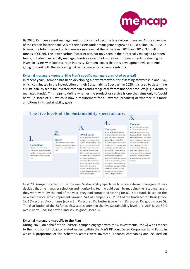

By 2020, Kempen's asset management portfolios had become less carbon intensive. As the coverage of the carbon footprint analysis of their assets under management grew to £30.8 billion (2019: £23.3 billion), the total financed carbon emissions stayed at the same level (2020 and 2019: 3.4 million tonnes of CO2e). The lower carbon footprint was not only seen in their internally managed Kempen funds, but also in externally managed funds as a result of more (institutional) clients preferring to invest in assets with lower carbon intensity. Kempen expect that this development will continue going forward with the increasing ESG and climate focus from regulators.

## **External managers – general (the Plan's specific managers are noted overleaf)**

In recent years, Kempen has been developing a new framework for assessing stewardship and ESG, which culminated in the introduction of their Sustainability Spectrum in 2020. It is used to determine a sustainability score for investee companies and a range of different financial products (e.g. externally managed funds). This helps to define whether the product or service is one that aims only to 'avoid harm' (a score of 3 – which is now a requirement for all external products) or whether it is more ambitious in its sustainability goals.



In 2020, Kempen started to use the new Sustainability Spectrum to score external managers. It was decided that the manager selection and monitoring team would begin by mapping the listed managers they work with. By the end of the year, they had completed scoring for 83 listed funds based on the new framework, which represents around 24% of Kempen's AuM: 2% of the funds scored Basic (score 2); 15% scored Avoid harm (score 3); 7% scored Do better (score 4); <1% scored Do good (score 5). The distribution of the 83 funds' ESG scores between the five Sustainability levels are: 26% Basic; 52% Avoid harm; 18% Do better; and 4% Do good (score 5).

## **External managers – specific to the Plan**

During 2020, on behalf of the Trustee, Kempen engaged with M&G Investments (M&G) with respect to the inclusion of tobacco related issuers within the M&G PP Long Dated Corporate Bond Fund, in which a proportion of the Scheme's assets were invested. Tobacco companies are included on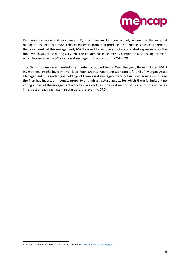

Kempen's Exclusion and avoidance list<sup>3</sup>, which means Kempen actively encourage the external managers it selects to remove tobacco exposure from their products. The Trustee is pleased to report, that as a result of this engagement, M&G agreed to remove all tobacco related exposure from the fund, which was done during Q4 2020. The Trustee has concurrently completed a de-risking exercise, which has removed M&G as an asset manager of the Plan during Q4 2020.

The Plan's holdings are invested in a number of pooled funds. Over the year, these included M&G Investment, Insight Investments, BlackRock iShares, Aberdeen Standard Life and JP Morgan Asset Management. The underlying holdings of these asset managers were not in listed equities – instead the Plan has invested in bonds, property and infrastructure assets, for which there is limited / no voting as part of the engagement activities. We outline in the next section of this report the activities in respect of each manager, insofar as it is relevant to SRD II.

<sup>&</sup>lt;sup>3</sup> Kempen's Exclusion and avoidance list can be found here **Exclusions & avoidance** | Kempen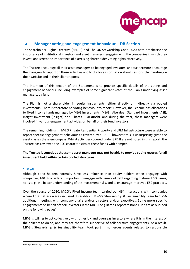

# <span id="page-9-0"></span>**4. Manager voting and engagement behaviour – DB Section**

The Shareholder Rights Directive (SRD II) and The UK Stewardship Code 2020 both emphasise the importance of institutional investors and asset managers' engaging with the companies in which they invest, and stress the importance of exercising shareholder voting rights effectively.

The Trustee encourage all their asset managers to be engaged investors, and furthermore encourage the managers to report on these activities and to disclose information about Responsible Investing on their website and in their client reports.

The intention of this section of the Statement is to provide specific details of the voting and engagement behaviour including examples of some significant votes of the Plan's underlying asset managers, by fund.

The Plan is not a shareholder in equity instruments, either directly or indirectly via pooled investments. There is therefore no voting behaviour to report. However, the Scheme has allocations to fixed income funds managed by M&G Investments (M&G), Aberdeen Standard Investments (ASI), Insight Investment (Insight) and iShares (BlackRock), and during the year, these managers were involved in various engagement activities on behalf of their fund investors.

The remaining holdings in M&G Private Residential Property and JPM Infrastructure were unable to report specific engagement behaviour as covered by SRD II – however this is unsurprising given the asset classes these encompass. Whilst activities covered under SRD II are not noted in this report, the Trustee has reviewed the ESG characteristics of these funds with Kempen.

**The Trustee is conscious that some asset managers may not be able to provide voting records for all investment held within certain pooled structures.** 

## **1. M&G**

Although bond holders normally have less influence than equity holders when engaging with companies, M&G considers it important to engage with issuers of debt regarding material ESG issues, so as to gain a better understanding of the investment risks, and to encourage improved ESG practices.

Over the course of 2020, M&G's Fixed Income team carried our 464 interactions with companies where ESG matters were discussed. In addition, M&G's Stewardship & Sustainability team had 256 additional meetings with company chairs and/or directors and/or executives. Some more specific engagements on behalf of their investors in the M&G Long Dated Corporate Bond Fund are as outlined on the following pages<sup>4</sup>:

M&G is willing to act collectively with other UK and overseas investors where it is in the interest of their clients to do so, and they are therefore supportive of collaborative engagements. As a result, M&G's Stewardship & Sustainability team took part in numerous events related to responsible

<sup>4</sup> Data provided by M&G Investment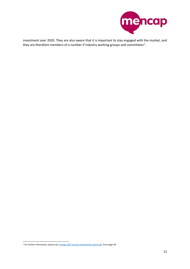

investment over 2020. They are also aware that it is important to stay engaged with the market, and they are therefore members of a number if industry working groups and committees<sup>5</sup>.

<sup>5</sup> For further information, please se[e mandg-2020-annual-stewardship-report.pdf,](https://www.mandg.com/dam/investments/professional-investor/gb/en/documents/funds-literature/brochures/mandg-2020-annual-stewardship-report.pdf) from page 40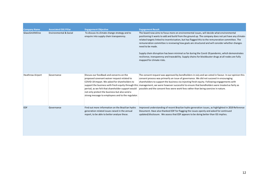| <b>Company Name</b>     | <b>Associated ESG Pillar</b>      | <b>Engagement Objective</b>                                                                                                                                                                                                                                                                         | <b>Engagement Result</b>                                                                                                                                                                                                                                                                                                                                                                                                                                                                                                               |
|-------------------------|-----------------------------------|-----------------------------------------------------------------------------------------------------------------------------------------------------------------------------------------------------------------------------------------------------------------------------------------------------|----------------------------------------------------------------------------------------------------------------------------------------------------------------------------------------------------------------------------------------------------------------------------------------------------------------------------------------------------------------------------------------------------------------------------------------------------------------------------------------------------------------------------------------|
| GlaxoSmithKline         | <b>Environmental &amp; Social</b> | To discuss its climate change strategy and to<br>enquire into supply chain transparency.                                                                                                                                                                                                            | The board now aims to focus more on environmental issues, will decide what environmental<br>positioning it wants to add and build from the ground up. The company does not yet have any climate-<br>related targets linked to incentivisation, but has flagged this to the remuneration committee. The<br>remuneration committee is reviewing how goals are structured and will consider whether changes<br>need to be made.                                                                                                           |
|                         |                                   |                                                                                                                                                                                                                                                                                                     | Supply chain disruption has been minimal so far during the Covid-19 pandemic, which demonstrates<br>resilience, transparency and traceability. Supply chains for blockbuster drugs at all nodes are fully<br>mapped for climate risks.                                                                                                                                                                                                                                                                                                 |
| <b>Heathrow Airport</b> | Governance                        | Discuss our feedback and concerns on the<br>proposed covenant waiver request related to<br>COVID-19 impact. We asked for shareholders to<br>period, as we felt that shareholder support would<br>not only protect the business but also send a<br>strong message to employees and to the regulator. | The consent request was approved by bondholders in July and we voted in favour. In our opinion this<br>consent process was primarily an issue of governance. We did not succeed in encouraging<br>shareholders to support the business via injecting fresh equity. Following engagements with<br>support the business with fresh equity through this management, we were however successful to ensure that bondholders were treated as fairly as<br>possible and the consent fees were work fees rather than being coercive in nature. |
| <b>EDF</b>              | Governance                        | Find out more information on the Brazilian hydro<br>generation related issues raised in the annual<br>report, to be able to better analyse these.                                                                                                                                                   | Improved understanding of recent Brazilan hydro generation issues, as highlighted in 2019 Reference<br>Document. Have also thanked EDF for flagging the issues openly and asked for continued<br>updated/disclosure. We assess that EDF appears to be doing better than ISS implies.                                                                                                                                                                                                                                                   |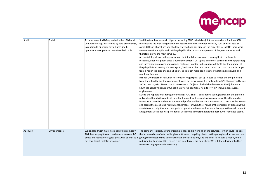

| Shell    | Social        | To determine if M&G agreed with the UN Global<br>Compact red flag, as ascribed by data provider ISS,<br>in relation to oil major Royal Dutch Shell's<br>operations in Nigeria and associated oil spills. | Shell has four businesses in Nigeria, including SPDC, which is a joint venture where Shell has 30%<br>interest and the Nigerian government 55% (the balance is owned by Total, 10%, and Eni, 5%). SPDC<br>owns 4,000km of onshore and shallow water oil and gas pipes in the Niger Delta. In 2019 there were<br>seven operational spills and 156 illegal spills. Shell acts as the operator of the joint-venture, and<br>therefore draws the most scrutiny.<br>Accountability sits with the government, but Shell does not want tthese spills to continue. In<br>response, Shell has put in place a number of actions: CCTV; use of drones; patrolling of the pipelines;<br>and increasing employment prospects for locals in order to discourage oil theft, but the number of<br>illegal spills is increasing. On average 11,000 barrels of oil are stolen or lost per day, the thefts range<br>from a nail in the pipeline and a bucket, up to much more sophisticated theft using pipework and<br>mobile refineries.<br>HYPREP (Hydrocarbon Pollution Restoration Project) was set up in 2016 to remediate the pollution<br>from the oil spills, but the government owns the process and it is far too slow. SPDC has agreed to pay<br>\$900m in total, with \$360m paid in to HYPREP so far (30% of which has been from Shell), but only<br>\$40m has actually been spent. Shell has offered additional help to HYPREP, including resources,<br>engineers etc.<br>Due to the reputational damage of owning SPDC, Shell is considering selling its stake in the pipeline<br>network, although it would still be reliant upon it for transporting hydrocarbons. The dilemma for<br>investors is therefore whether they would prefer Shell to remain the owner and try to sort the issues -<br>and accept the associated reputational damage - or wash their hands of the problem by disposing the<br>assets to what might be a less scrupulous operator, who may allow more damage to the environment.<br>Engagement with Shell has provided us with some comfort that it is the best owner for these assets. |
|----------|---------------|----------------------------------------------------------------------------------------------------------------------------------------------------------------------------------------------------------|-----------------------------------------------------------------------------------------------------------------------------------------------------------------------------------------------------------------------------------------------------------------------------------------------------------------------------------------------------------------------------------------------------------------------------------------------------------------------------------------------------------------------------------------------------------------------------------------------------------------------------------------------------------------------------------------------------------------------------------------------------------------------------------------------------------------------------------------------------------------------------------------------------------------------------------------------------------------------------------------------------------------------------------------------------------------------------------------------------------------------------------------------------------------------------------------------------------------------------------------------------------------------------------------------------------------------------------------------------------------------------------------------------------------------------------------------------------------------------------------------------------------------------------------------------------------------------------------------------------------------------------------------------------------------------------------------------------------------------------------------------------------------------------------------------------------------------------------------------------------------------------------------------------------------------------------------------------------------------------------------------------------------------------------------------------------------------------------------------------------|
| AB InBev | Environmental | We engaged with multi-national drinks company<br>AB InBev, urging it to set medium-term scope 1-3<br>emissions reduction targets, post 2025, as well as a<br>net zero target for 2050 or sooner          | The company is clearly aware of its challenges and is working on the solutions, which could include<br>the increased use of returnable glass bottles and recycling plastic on the packaging side. We are now<br>giving the company time to work through these solutions, and we await its next ESG report, to be<br>published in February 2021, to see if any new targets are published. We will then decide if further<br>near-term engagement is necessary.                                                                                                                                                                                                                                                                                                                                                                                                                                                                                                                                                                                                                                                                                                                                                                                                                                                                                                                                                                                                                                                                                                                                                                                                                                                                                                                                                                                                                                                                                                                                                                                                                                                   |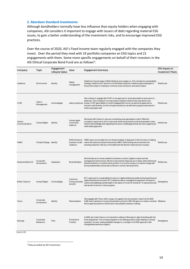## **2. Aberdeen Standard Investments**

Although bondholders normally have less influence than equity holders when engaging with companies, ASI considers it important to engage with issuers of debt regarding material ESG issues, to gain a better understanding of the investment risks, and to encourage improved ESG practices.

Over the course of 2020, ASI's Fixed Income team regularly engaged with the companies they invest. Over the period they med with 19 portfolio companies on ESG topics and 21 engagements with them. Some more specific engagements on behalf of their investors in the ASI Ethical Corporate Bond Fund are as follows<sup>6</sup>:

| Company                               | Topic                   | Engagement<br>Lifecycle Status | Issue                                        | <b>Engagement Summary</b>                                                                                                                                                                                                                                                                                                                                                                | ESG Impact on<br><b>Investment Thesis</b> |
|---------------------------------------|-------------------------|--------------------------------|----------------------------------------------|------------------------------------------------------------------------------------------------------------------------------------------------------------------------------------------------------------------------------------------------------------------------------------------------------------------------------------------------------------------------------------------|-------------------------------------------|
| Heathrow                              | Environment             | <b>Identify</b>                | Waste<br>management                          | Heathrow's broad range of ESG initiatives encourages us. This includes its sustainability<br>strategy 'Heathrow 2.0' and its Covid-19 safety measures. Heathrow gave examples of<br>the positive steps it is taking to minimise noise emissions and reduce waste.                                                                                                                        | Reinforces                                |
| AT&T                                  | Labour<br>Management    | Acknowledge                    | Labour practices                             | We continue to engage with AT&T on its approach to employee relations and unions in<br>particular. The company is moving toward a wireless network that may result in job<br>losses. A T&T gave details on how it engaged with unions, as well as its approach to<br>inclusion and diversity. As the company transitions, we will track progress and ensure it<br>treats employees well. | Reinforces                                |
| Verizon<br>Communications             | Human Rights            | identify.                      | Human rights<br>community<br>relations       | We spoke with Verizon to discuss moderating user-generated content. While the<br>company's exposure to this is very small, there are potential social and reputation risks.<br>Verizon acknowledge that regulating this area is challenging and we are encouraged by its<br>child-safety approach.                                                                                       | Reinforces                                |
| <b>HSBC</b>                           | Climate Change Identify |                                | GHG emissions<br>business model<br>resilence | HSBC gave more insight into its climate strategy. A large part of this focuses on helping<br>clients de-carbonise assets financed by HSBC, while limiting new investment into<br>polluting industries. We are comfortable with the direction taken by the company.                                                                                                                       | Reinforces                                |
| Deutsche Bank AG                      | Corporate<br>Governance | Implement                      | Board Matters                                | We followed up on issues related to business conduct, iltigation cases and risk<br>management and structure. We are re-assured by measures put in place, which will ensure<br>Deutsche Bank is in a better future position. It is now focusing on a cultural change with<br>its key stakeholders and we will continue to monitor developments.                                           | <b>Reinforces</b>                         |
| <b>British Telecom</b>                | Human Rights            | Acknowledge                    | Customer<br>Privacy and data<br>security     | BT's approach to sustainability focuses on: digital skillsresponsible technology & human<br>rightsclimate & environment. BT outlined its labour management approach, focused on<br>culture and wellbeing/mental health in the wake of Covid-19. Overall, BT is well-positioned<br>and we will continue to track progress.                                                                | Strengthens                               |
| Tesco                                 | Corporate<br>Governance | klentify                       | Remuneration                                 | We engaged with Tesco after a large vote against the remuneration report at the 2020<br>AGM and in advance of a new remuneration policy for 2021. We gave our views on and we Weakens<br>did not gain assurance of the Board's remuneration decision making.                                                                                                                             |                                           |
| <b>B</b> arclays                      | Corporate<br>Behaviour  | Plan                           | Practices &<br>Policies                      | In 2020, we voted in favour of a resolution calling on Barolays to align its lending with the<br>Paris Agreement. The company appears to be making positive steps relating to climate<br>transition. It is also making detailed changes to oversight of its ESG approach, with<br>strengthened executive support.                                                                        | Strengthens                               |
| $L$ <sub>1</sub> $(0, 0, 0, 0, 0, 0)$ |                         |                                |                                              |                                                                                                                                                                                                                                                                                                                                                                                          |                                           |

iurce: AS

<sup>6</sup> Data provided by ASI Investment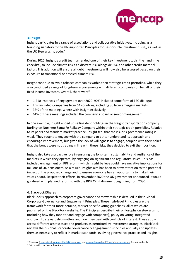

## **3. Insight**

Insight participates in a range of associations and collaborative initiatives, including as a founding signatory to the UN-supported Principles for Responsible Investment (PRI), as well as the UK Stewardship code.<sup>7</sup>

During 2020, Insight's credit team amended one of their key investment tools, the 'landmine checklist', to include climate risk as a discrete risk alongside ESG and other credit-material factors This addition will ensure all debt investments will now also be assessed based on their exposure to transitional or physical climate risk.

Insight continue to avoid tobacco companies within their strategic credit portfolios, while they also continued a range of long-term engagements with different companies on behalf of their fixed income investors. Overall, there were<sup>8</sup>:

- 1,210 instances of engagement over 2020, 90% included some form of ESG dialogue
- This included Companies from 64 countries, including 30 from emerging markets
- 33% of the meetings where with Insight exclusively
- 61% of these meetings included the company's board or senior management

In one example, Insight ended up selling debt holdings in the freight transportation company Burlington Northern Santa Fe Railway Company within their strategic credit portfolios. Relative to its peers and standard market practice, Insight feel that the issuer's governance rating is weak. They sought to engage with the company to better understand its approach and encourage improvement, but given the lack of willingness to engage, coupled with their belief that the bonds were not trading in line with these risks, they decided to exit their position.

Insight also take a proactive role in ensuring the long-term sustainability and resilience of the markets in which they operate, by engaging on significant and regulatory issues. This has included engagement on RPI reform, which Insight believe could have negative implications for millions of UK pensioners. As a result, Insights aim has been to draw attention to the potential impact of the proposed change and to ensure everyone has an opportunity to make their voices heard. Despite their efforts, in November 2020 the UK government announced it would go ahead with planned reforms, with the RPI/ CPIH alignment beginning from 2030.

## **4. Blackrock iShares**

BlackRock's approach to corporate governance and stewardship is detailed in their Global Corporate Governance and Engagement Principles. These high-level Principles are the framework for their more detailed, market-specific voting guidelines, all of which are published on the BlackRock website. The Principles describe their philosophy on stewardship (including how they monitor and engage with companies), policy on voting, integrated approach to stewardship matters and how they deal with conflicts of interest. These apply across different asset classes and products as permitted by investment strategies. BlackRock reviews their Global Corporate Governance & Engagement Principles annually and updates them as necessary to reflect in market standards, evolving governance practice and insights

<sup>7</sup> Please se[e Responsible investment | Insight Investment](https://www.insightinvestment.com/investing-responsibly/) an[d stewardship-code.pdf \(insightinvestment.com\)](https://www.insightinvestment.com/globalassets/documents/responsible-investment/stewardship-code/stewardship-code.pdf) for further details

<sup>8</sup> Data provided by Insight Investment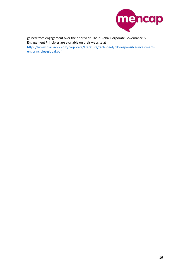

gained from engagement over the prior year. Their Global Corporate Governance & Engagement Principles are available on their website at [https://www.blackrock.com/corporate/literature/fact-sheet/blk-responsible-investment](https://www.blackrock.com/corporate/literature/fact-sheet/blk-responsible-investment-engprinciples-global.pdf)[engprinciples-global.pdf](https://www.blackrock.com/corporate/literature/fact-sheet/blk-responsible-investment-engprinciples-global.pdf)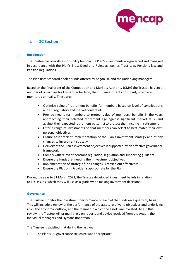

# <span id="page-16-1"></span><span id="page-16-0"></span>**5. DC Section**

## **Introduction**

The Trustee has overall responsibility for how the Plan's investments are governed and managed in accordance with the Plan's Trust Deed and Rules, as well as Trust Law, Pensions law and Pension Regulations.

The Plan uses standard pooled funds offered by Aegon UK and the underlying managers.

Based on the final order of the Competition and Markets Authority (CMA) the Trustee has set a number of objectives for Hymans Robertson, their DC investment consultant, which are monitored annually. These are:

- Optimise value of retirement benefits for members based on level of contributions and DC regulatory and market constraints
- Provide means for members to protect value of members' benefits in the years approaching their selected retirement age against significant market falls (and against their expected retirement patterns) to protect their income in retirement
- Offer a range of investments so that members can select to best match their own personal objectives
- Ensure cost efficient implementation of the Plan's investment strategy and of any changes to investment strategy
- Delivery of the Plan's investment objectives is supported by an effective governance framework
- Comply with relevant pensions regulation, legislation and supporting guidance
- Ensure the funds are meeting their investment objectives
- Implementation of strategic fund changes is carried out effectively
- Ensure the Platform Provider is appropriate for the Plan

During the year to 31 March 2021, the Trustee developed investment beliefs in relation to ESG issues, which they will use as a guide when making investment decisions.

## <span id="page-16-2"></span>**Governance**

The Trustee monitor the investment performance of each of the funds on a quarterly basis. This will include a review of the performance of the assets relative to objectives and underlying risks, the economic outlook, and the manner in which the assets are invested. To aid this review, the Trustee will primarily rely on reports and advice received from the Aegon, the individual managers and Hymans Robertson.

The Trustee is satisfied that during the last year:

The Plan's DC governance structure was appropriate;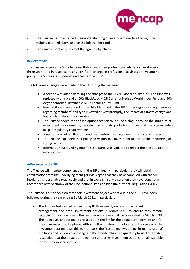

- The Trustee has maintained their understanding of investment matters through the training outlined above and on the job training; and
- <span id="page-17-0"></span>Their investment advisers met the agreed objectives.

## **Review of SIP**

The Trustee reviews the SIP after consultation with their professional advisers at least every three years, and in response to any significant change in professional advisors or investment policy. The SIP was last updated on 1 September 2021.

The following changes were made to the SIP during the last year:

- A section was added detailing the changes to the 30/70 Global equity fund. The fund was replaced with a blend of 50% BlackRock MCSI Currency Hedged World Index Fund and 50% Aegon Schroder Sustainable Multi Factor Equity Fund.
- New sections were added to the risks identified in the SIP (as per regulatory requirements) regarding members' ability to invest/disinvest promptly, the impact of climate change and financially material considerations.
- The Trustee added to the fund options section to include dialogue around the structure of investment arrangements, the selection of funds, portfolio turnover and manager incentives (as per regulatory requirements).
- A section was added that outlined the Trustee's management of conflicts of interests.
- The Trustee expanded their policy on responsible investment to include the monitoring of voting rights.
- Information surrounding fund fee structures was updated to reflect the most up to date information

## <span id="page-17-1"></span>**Adherence to the SIP**

The Trustee will monitor compliance with the SIP annually. In particular, they will obtain confirmation from the underlying managers via Aegon that they have complied with the SIP insofar as is reasonably practicable and that in exercising any discretion they have done so in accordance with Section 4 of the Occupational Pension Plan (Investment) Regulations 2005.

The Trustee is of the opinion that their investment objectives set out in their SIP have been followed during the year ending 31 March 2021. In particular:

• The Trustee last carried out an in-depth three-yearly review of the default arrangement and other investment options in March 2020 to ensure they remain suitable for most members. The next in-depth review will be completed by March 2023. The objectives and rationale are set out in the SIP for the default arrangement and for the other investment options. Although the Trustee did not carry out a review of the investment options available to members, the Trustee reviews the performance of all of the funds and reviews any changes in the membership on a quarterly basis. The Trustee is satisfied that the default arrangement and other investment options remain suitable for most members because: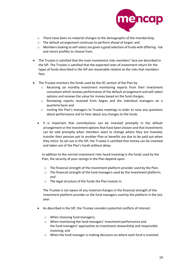

- o There have been no material changes to the demographic of the membership;
- o The default arrangement continues to perform ahead of target; and
- $\circ$  Members looking to self-select are given a good selection of funds with differing risk and return profiles to choose from.
- The Trustee is satisfied that the main investment risks members' face are described in the SIP. The Trustee is satisfied that the expected rates of investment return for the types of funds described in the SIP are reasonable relative to the risks that members face.
- The Trustee monitors the funds used by the DC section of the Plan by:
	- o Receiving six monthly investment monitoring reports from their investment consultant which reviews performance of the default arrangement and self-select options and reviews the value for money based on the fund charges;
	- o Reviewing reports received from Aegon and the individual managers on a quarterly basis and
	- o Inviting the Plan's managers to Trustee meetings in order to raise any questions about performance and to hear about any changes to the funds.
	- It is important that contributions can be invested promptly in the default arrangement or the investment options that have been chosen and that investments can be sold promptly when members want to change where they are invested, transfer their pension pot to another Plan or benefits are due to be paid out when they retire. As set out in the SIP, the Trustee is satisfied that money can be invested and taken out of the Plan's funds without delay.

In addition to the normal investment risks faced investing in the funds used by the Plan, the security of your savings in the Plan depend upon:

- o The financial strength of the investment platform provider used by the Plan;
- $\circ$  The financial strength of the fund managers used by the investment platform; and
- o The legal structure of the funds the Plan invests in.

The Trustee is not aware of any material changes in the financial strength of the investment platform provider or the fund managers used by the platform in the last year.

- As described in the SIP, the Trustee considers potential conflicts of interest:
	- o When choosing fund managers;
	- o When monitoring the fund managers' investment performance and the fund managers' approaches to investment stewardship and responsible investing; and
	- o When the fund manager is making decisions on where each fund is invested.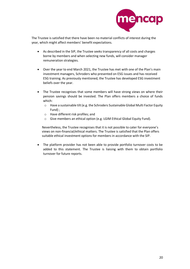

The Trustee is satisfied that there have been no material conflicts of interest during the year, which might affect members' benefit expectations.

- As described in the SIP, the Trustee seeks transparency of all costs and charges borne by members and when selecting new funds, will consider manager remuneration strategies.
- Over the year to end March 2021, the Trustee has met with one of the Plan's main investment managers, Schroders who presented on ESG issues and has received ESG training. As previously mentioned, the Trustee has developed ESG investment beliefs over the year.
- The Trustee recognises that some members will have strong views on where their pension savings should be invested. The Plan offers members a choice of funds which:
	- o Have a sustainable tilt (e.g. the Schroders Sustainable Global Multi Factor Equity Fund) ;
	- o Have different risk profiles; and
	- o Give members an ethical option (e.g. LGIM Ethical Global Equity Fund).

Nevertheless, the Trustee recognises that it is not possible to cater for everyone's views on non-financial/ethical matters. The Trustee is satisfied that the Plan offers suitable ethical investment options for members in accordance with the SIP.

• The platform provider has not been able to provide portfolio turnover costs to be added to this statement. The Trustee is liaising with them to obtain portfolio turnover for future reports.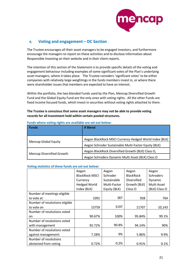

# <span id="page-20-0"></span>**6. Voting and engagement – DC Section**

The Trustee encourages all their asset managers to be engaged investors, and furthermore encourage the managers to report on these activities and to disclose information about Responsible Investing on their website and in their client reports.

The intention of this section of the Statement is to provide specific details of the voting and engagement behaviour including examples of some significant votes of the Plan's underlying asset managers, where it takes place. The Trustee considers 'significant votes' to be either companies with relatively large weightings in the funds members invest in, or where there were shareholder issues that members are expected to have an interest.

Within the portfolio, the two blended Funds used by the Plan, Mencap Diversified Growth Fund and the Global Equity Fund are the only ones with voting rights. All the other Funds are fixed income focused funds, which invest in securities without voting rights attached to them.

## **The Trustee is conscious that some asset managers may not be able to provide voting records for all investment held within certain pooled structures.**

| <b>Funds</b>                     | <b>If Blend</b>                                        |  |  |
|----------------------------------|--------------------------------------------------------|--|--|
|                                  | Aegon BlackRock MSCI Currency Hedged World Index (BLK) |  |  |
| <b>Mencap Global Equity</b>      | Aegon Schroder Sustainable Multi-Factor Equity (BLK)   |  |  |
| <b>Mencap Diversified Growth</b> | Aegon BlackRock Diversified Growth (BLK) Class O,      |  |  |
|                                  | Aegon Schroders Dynamic Multi Asset (BLK) Class O      |  |  |

#### **Funds where voting rights are available are set out below:**

#### **Voting statistics of these funds are set out below:**

|                                | Aegon                 | Aegon        | Aegon              | Aegon            |
|--------------------------------|-----------------------|--------------|--------------------|------------------|
|                                | <b>BlackRock MSCI</b> | Schroder     | <b>BlackRock</b>   | <b>Schroders</b> |
|                                | Currency              | Sustainable  | <b>Diversified</b> | Dynamic          |
|                                | <b>Hedged World</b>   | Multi-Factor | Growth (BLK)       | Multi Asset      |
|                                | Index (BLK)           | Equity (BLK) | Class O            | (BLK) Class O    |
| Number of meetings eligible    |                       |              |                    |                  |
| to vote at                     | 1091                  | 387          | 928                | 764              |
| Number of resolutions eligible |                       |              |                    |                  |
| to vote on                     | 15759                 | 5197         | 11707              | 10,143           |
| Number of resolutions voted    |                       |              |                    |                  |
| on                             | 90.67%                | 100%         | 95.84%             | 99.1%            |
| Number of resolutions voted    |                       |              |                    |                  |
| with management                | 92.72%                | 90.8%        | 94.14%             | 90%              |
| Number of resolutions voted    |                       |              |                    |                  |
| against management:            | 7.28%                 | 9%           | 5.86%              | 9.9%             |
| Number of resolutions          |                       |              |                    |                  |
| abstained from voting          | 0.72%                 | 0.2%         | 0.91%              | 0.1%             |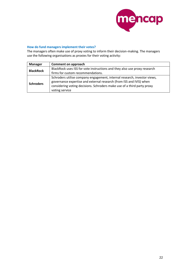

# **How do fund managers implement their votes?**

The managers often make use of proxy voting to inform their decision-making. The managers use the following organisations as proxies for their voting activity:

| <b>Manager</b>   | Comment on approach                                                       |
|------------------|---------------------------------------------------------------------------|
| <b>BlackRock</b> | BlackRock uses ISS for vote instructions and they also use proxy research |
|                  | firms for custom recommendations.                                         |
|                  | Schroders utilise company engagement, internal research, investor views,  |
| <b>Schroders</b> | governance expertise and external research (from ISS and IVIS) when       |
|                  | considering voting decisions. Schroders make use of a third party proxy   |
|                  | voting service                                                            |